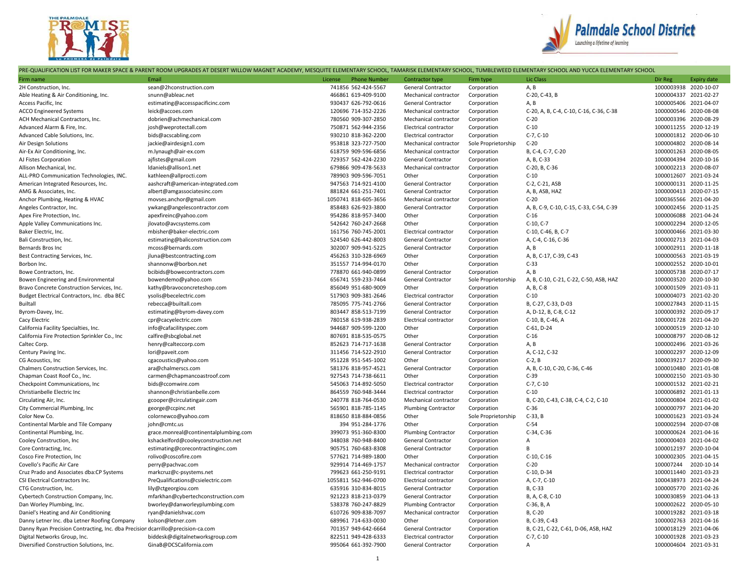



PRE-QUALIFICATION LIST FOR MAKER SPACE & PARENT ROOM UPGRADES AT DESERT WILLOW MAGNET ACADEMY, MESQUITE ELEMENTARY SCHOOL, TAMARISK ELEMENTARY SCHOOL, TUMBLEWEED ELEMENTARY SCHOOL AND YUCCA ELEMENTARY SCHOOL

| Firm name                                                                       | Email                                 | <b>Phone Number</b><br>License | Contractor type              | Firm type           | Lic Class                               | Dir Reg               | <b>Expiry date</b> |
|---------------------------------------------------------------------------------|---------------------------------------|--------------------------------|------------------------------|---------------------|-----------------------------------------|-----------------------|--------------------|
| 2H Construction, Inc.                                                           | sean@2hconstruction.com               | 741856 562-424-5567            | General Contractor           | Corporation         | A, B                                    | 1000003938 2020-10-07 |                    |
| Able Heating & Air Conditioning, Inc.                                           | snunn@ableac.net                      | 466861 619-409-9100            | Mechanical contractor        | Corporation         | C-20, C-43, B                           | 1000004337 2021-02-27 |                    |
| Access Pacific, Inc                                                             | estimating@accesspacificinc.com       | 930437 626-792-0616            | General Contractor           | Corporation         | A, B                                    | 1000005406 2021-04-07 |                    |
| <b>ACCO Engineered Systems</b>                                                  | leick@accoes.com                      | 120696 714-352-2226            | Mechanical contractor        | Corporation         | C-20, A, B, C-4, C-10, C-16, C-36, C-38 | 1000000546 2020-08-08 |                    |
| ACH Mechanical Contractors, Inc.                                                | dobrien@achmechanical.com             | 780560 909-307-2850            | Mechanical contractor        | Corporation         | $C-20$                                  | 1000003396 2020-08-29 |                    |
| Advanced Alarm & Fire, Inc.                                                     | josh@weprotectall.com                 | 750871 562-944-2356            | <b>Electrical contractor</b> | Corporation         | $C-10$                                  | 1000011255 2020-12-19 |                    |
| Advanced Cable Solutions, Inc.                                                  | bids@acscabling.com                   | 930210 818-362-2200            | <b>Electrical contractor</b> | Corporation         | $C-7, C-10$                             | 1000001812 2020-06-10 |                    |
| Air Design Solutions                                                            | jackie@airdesign1.com                 | 953818 323-727-7500            | Mechanical contractor        | Sole Proprietorship | $C-20$                                  | 1000004802 2020-08-14 |                    |
| Air-Ex Air Conditioning, Inc.                                                   | m.lynaugh@air-ex.com                  | 618759 909-596-6856            | Mechanical contractor        | Corporation         | B, C-4, C-7, C-20                       | 1000001263 2020-08-05 |                    |
| AJ Fistes Corporation                                                           | ajfistes@gmail.com                    | 729357 562-424-2230            | General Contractor           | Corporation         | A, B, C-33                              | 1000004394 2020-10-16 |                    |
| Allison Mechanical, Inc.                                                        | Idaniels@allison1.net                 | 679866 909-478-5633            | Mechanical contractor        | Corporation         | C-20, B, C-36                           | 1000002213 2020-08-07 |                    |
| ALL-PRO Communication Technologies, INC.                                        | kathleen@allprocti.com                | 789903 909-596-7051            | Other                        | Corporation         | $C-10$                                  | 1000012607 2021-03-24 |                    |
| American Integrated Resources, Inc.                                             | aashcraft@american-integrated.com     | 947563 714-921-4100            | General Contractor           | Corporation         | C-2, C-21, ASB                          | 1000000131 2020-11-25 |                    |
| AMG & Associates, Inc.                                                          | albert@amgassociatesinc.com           | 881824 661-251-7401            | <b>General Contractor</b>    | Corporation         | A, B, ASB, HAZ                          | 1000000413 2020-07-15 |                    |
| Anchor Plumbing, Heating & HVAC                                                 | movses.anchor@gmail.com               | 1050741 818-605-3656           | Mechanical contractor        | Corporation         | $C-20$                                  | 1000365566 2021-04-20 |                    |
| Angeles Contractor, Inc.                                                        | ywkang@angelescontractor.com          | 858483 626-923-3800            | General Contractor           | Corporation         | A, B, C-9, C-10, C-15, C-33, C-54, C-39 | 1000002456 2020-11-25 |                    |
| Apex Fire Protection, Inc.                                                      | apexfireinc@yahoo.com                 | 954286 818-957-3400            | Other                        | Corporation         | $C-16$                                  | 1000006088 2021-04-24 |                    |
| Apple Valley Communications Inc.                                                | jlovato@avcsystems.com                | 542642 760-247-2668            | Other                        | Corporation         | C-10, C-7                               | 1000002294 2020-12-05 |                    |
| Baker Electric, Inc.                                                            | mbisher@baker-electric.com            | 161756 760-745-2001            | Electrical contractor        | Corporation         | C-10, C-46, B, C-7                      | 1000000466 2021-03-30 |                    |
| Bali Construction, Inc.                                                         | estimating@baliconstruction.com       | 524540 626-442-8003            | General Contractor           | Corporation         | A, C-4, C-16, C-36                      | 1000002713 2021-04-03 |                    |
| Bernards Bros Inc                                                               | mcoss@bernards.com                    | 302007 909-941-5225            | General Contractor           | Corporation         | A, B                                    | 1000002911 2020-11-18 |                    |
| Best Contracting Services, Inc.                                                 | jluna@bestcontracting.com             | 456263 310-328-6969            | Other                        | Corporation         | A, B, C-17, C-39, C-43                  | 1000000563 2021-03-19 |                    |
| Borbon Inc.                                                                     | shannonw@borbon.net                   | 351557 714-994-0170            | Other                        | Corporation         | $C-33$                                  | 1000002552 2020-10-01 |                    |
| Bowe Contractors, Inc.                                                          | bcibids@bowecontractors.com           | 778870 661-940-0899            | General Contractor           | Corporation         | A, B                                    | 1000005738 2020-07-17 |                    |
| Bowen Engineering and Environmental                                             | bowendemo@yahoo.com                   | 656741 559-233-7464            | General Contractor           | Sole Proprietorship | A, B, C-10, C-21, C-22, C-50, ASB, HAZ  | 1000003520 2020-10-30 |                    |
| Bravo Concrete Construction Services, Inc.                                      | kathy@bravoconcreteshop.com           | 856049 951-680-9009            | Other                        | Corporation         | A, B, C-8                               | 1000001509 2021-03-11 |                    |
| Budget Electrical Contractors, Inc. dba BEC                                     | ysolis@becelectric.com                | 517903 909-381-2646            | Electrical contractor        | Corporation         | $C-10$                                  | 1000004073 2021-02-20 |                    |
| <b>Builtall</b>                                                                 | rebecca@builtall.com                  | 785095 775-741-2766            | General Contractor           | Corporation         | B, C-27, C-33, D-03                     | 1000027843 2020-11-15 |                    |
| Byrom-Davey, Inc.                                                               | estimating@byrom-davey.com            | 803447 858-513-7199            | <b>General Contractor</b>    | Corporation         | A, D-12, B, C-8, C-12                   | 1000000392 2020-09-17 |                    |
| Cacy Electric                                                                   | cpr@cacyelectric.com                  | 780158 619-938-2839            | Electrical contractor        | Corporation         | C-10, B, C-46, A                        | 1000001728 2021-04-20 |                    |
| California Facility Specialties, Inc.                                           | info@cafacilityspec.com               | 944687 909-599-1200            | Other                        | Corporation         | C-61, D-24                              | 1000000519 2020-12-10 |                    |
| California Fire Protection Sprinkler Co., Inc.                                  | calfire@sbcglobal.net                 | 807691 818-535-0575            | Other                        | Corporation         | $C-16$                                  | 1000008797 2020-08-12 |                    |
| Caltec Corp.                                                                    | henry@calteccorp.com                  | 852623 714-717-1638            | General Contractor           | Corporation         | A, B                                    | 1000002496 2021-03-26 |                    |
| Century Paving Inc.                                                             | lori@paveit.com                       | 311456 714-522-2910            | General Contractor           | Corporation         | A, C-12, C-32                           | 1000002297 2020-12-09 |                    |
| CG Acoustics, Inc                                                               | cgacoustics@yahoo.com                 | 951228 951-545-1002            | Other                        | Corporation         | $C-2, B$                                | 1000039217 2020-09-30 |                    |
| Chalmers Construction Services, Inc.                                            | ara@chalmerscs.com                    | 581376 818-957-4521            | General Contractor           | Corporation         | A, B, C-10, C-20, C-36, C-46            | 1000010480 2021-01-08 |                    |
| Chapman Coast Roof Co., Inc.                                                    | carmen@chapmancoastroof.com           | 927543 714-738-6611            | Other                        | Corporation         | $C-39$                                  | 1000002150 2021-03-30 |                    |
| Checkpoint Communications, Inc.                                                 | bids@ccomwire.com                     | 545063 714-892-5050            | Electrical contractor        | Corporation         | $C-7, C-10$                             | 1000001532 2021-02-21 |                    |
| Christianbelle Electric Inc                                                     | shannon@christianbelle.com            | 864559 760-948-3444            | Electrical contractor        | Corporation         | $C-10$                                  | 1000006892 2021-01-13 |                    |
| Circulating Air, Inc.                                                           | gcooper@circulatingair.com            | 240778 818-764-0530            | Mechanical contractor        | Corporation         | B, C-20, C-43, C-38, C-4, C-2, C-10     | 1000000804 2021-01-02 |                    |
| City Commercial Plumbing, Inc                                                   | george@ccpinc.net                     | 565901 818-785-1145            | <b>Plumbing Contractor</b>   | Corporation         | $C-36$                                  | 1000000797 2021-04-20 |                    |
| Color New Co.                                                                   | colornewco@yahoo.com                  | 818650 818-884-0856            | Other                        | Sole Proprietorship | $C-33$ , B                              | 1000001623 2021-03-24 |                    |
| Continental Marble and Tile Company                                             | john@cmtc.us                          | 394 951-284-1776               | Other                        | Corporation         | $C-54$                                  | 1000002594 2020-07-08 |                    |
| Continental Plumbing, Inc.                                                      | grace.monreal@continentalplumbing.com | 399073 951-360-8300            | <b>Plumbing Contractor</b>   | Corporation         | C-34, C-36                              | 1000000624 2021-04-16 |                    |
| Cooley Construction, Inc                                                        | kshackelford@cooleyconstruction.net   | 348038 760-948-8400            | General Contractor           | Corporation         | A                                       | 1000000403 2021-04-02 |                    |
| Core Contracting, Inc.                                                          | estimating@corecontractinginc.com     | 905751 760-683-8308            | General Contractor           | Corporation         | B                                       | 1000012197 2020-10-04 |                    |
| Cosco Fire Protection, Inc                                                      | rolivo@coscofire.com                  | 577621 714-989-1800            | Other                        | Corporation         | C-10, C-16                              | 1000002305 2021-04-15 |                    |
| Covello's Pacific Air Care                                                      | perry@pachvac.com                     | 929914 714-469-1757            | Mechanical contractor        | Corporation         | $C-20$                                  | 100007244 2020-10-14  |                    |
| Cruz Prado and Associates dba:CP Systems                                        | markcruz@c-psystems.net               | 799623 661-250-9191            | Electrical contractor        | Corporation         | C-10. D-34                              | 1000011440 2021-03-23 |                    |
| CSI Electrical Contractors Inc.                                                 | PreQualifications@csielectric.com     | 1055811 562-946-0700           | Electrical contractor        | Corporation         | A, C-7, C-10                            | 1000438973 2021-04-24 |                    |
| CTG Construction, Inc.                                                          | lily@ctgeorgiou.com                   | 635916 310-834-8015            | General Contractor           | Corporation         | B, C-33                                 | 1000005770 2021-02-26 |                    |
| Cybertech Construction Company, Inc.                                            | mfarkhan@cybertechconstruction.com    | 921223 818-213-0379            | General Contractor           | Corporation         | B, A, C-8, C-10                         | 1000030859 2021-04-13 |                    |
| Dan Worley Plumbing, Inc.                                                       | bworley@danworleyplumbing.com         | 538378 760-247-8829            | <b>Plumbing Contractor</b>   | Corporation         | C-36, B, A                              | 1000002622 2020-05-10 |                    |
| Daniel's Heating and Air Conditioning                                           | ryan@danielshvac.com                  | 610726 909-838-7097            | Mechanical contractor        | Corporation         | B, C-20                                 | 1000019282 2021-03-18 |                    |
| Danny Letner Inc. dba Letner Roofing Company                                    | kolson@letner.com                     | 689961 714-633-0030            | Other                        | Corporation         | B, C-39, C-43                           | 1000002763 2021-04-16 |                    |
| Danny Ryan Precision Contracting, Inc. dba Precisior dcarrillo@precision-ca.com |                                       | 701357 949-642-6664            | General Contractor           | Corporation         | B, C-21, C-22, C-61, D-06, ASB, HAZ     | 1000018129 2021-04-06 |                    |
| Digital Networks Group, Inc.                                                    | biddesk@digitalnetworksgroup.com      | 822511 949-428-6333            | Electrical contractor        | Corporation         | $C-7, C-10$                             | 1000001928 2021-03-23 |                    |
| Diversified Construction Solutions, Inc.                                        | GinaB@DCSCalifornia.com               | 995064 661-392-7900            | General Contractor           | Corporation         | A                                       | 1000004604 2021-03-31 |                    |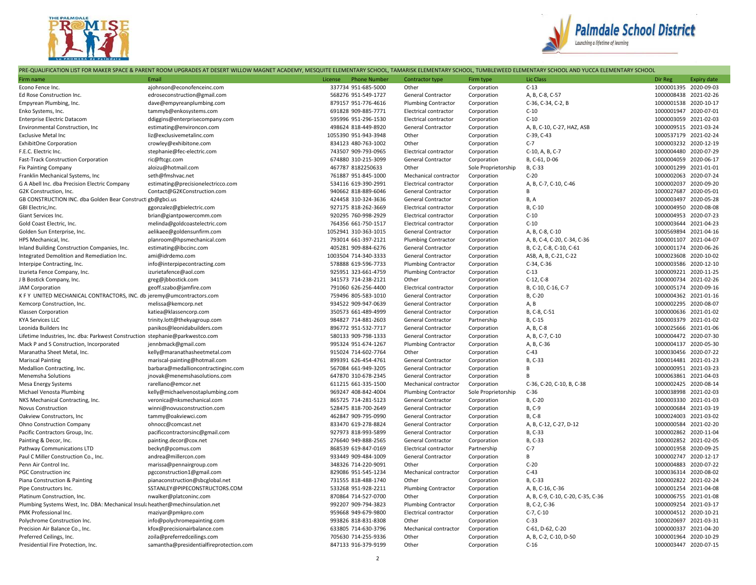



## PRE-QUALIFICATION LIST FOR MAKER SPACE & PARENT ROOM UPGRADES AT DESERT WILLOW MAGNET ACADEMY, MESQUITE ELEMENTARY SCHOOL, TAMARISK ELEMENTARY SCHOOL, TUMBLEWEED ELEMENTARY SCHOOL AND YUCCA ELEMENTARY SCHOOL

|                                                                               | <u>REQUIER REPORTED FOR MIRER SERVE &amp; FARENT ROOM OF GRADES AT DESERT MILEO M. MIRGHET AG IDEMIT, MESQUITE ELEMENTARY SCHOOL, TAMPARIS</u><br>Email |                                |                              | . בנבואובו זו זו זו זו טכו וסטב, ו סואוטנב אי בבט בנב |                                   |                       |                    |
|-------------------------------------------------------------------------------|---------------------------------------------------------------------------------------------------------------------------------------------------------|--------------------------------|------------------------------|-------------------------------------------------------|-----------------------------------|-----------------------|--------------------|
| Firm name                                                                     |                                                                                                                                                         | License<br><b>Phone Number</b> | Contractor type              | Firm type                                             | Lic Class                         | Dir Reg               | <b>Expiry date</b> |
| Econo Fence Inc.                                                              | ajohnson@econofenceinc.com                                                                                                                              | 337734 951-685-5000            | Other                        | Corporation                                           | $C-13$                            | 1000001395 2020-09-03 |                    |
| Ed Rose Construction Inc.                                                     | edroseconstruction@gmail.com                                                                                                                            | 568276 951-549-1727            | General Contractor           | Corporation                                           | A, B, C-8, C-57                   | 1000008438 2021-02-26 |                    |
| Empyrean Plumbing, Inc.                                                       | dave@empyreanplumbing.com                                                                                                                               | 879157 951-776-4616            | <b>Plumbing Contractor</b>   | Corporation                                           | C-36, C-34, C-2, B                | 1000001538 2020-10-17 |                    |
| Enko Systems, Inc.                                                            | tammyb@enkosystems.com                                                                                                                                  | 691828 909-885-7771            | Electrical contractor        | Corporation                                           | $C-10$                            | 1000001947 2020-07-01 |                    |
| <b>Enterprise Electric Datacom</b>                                            | ddiggins@enterprisecompany.com                                                                                                                          | 595996 951-296-1530            | <b>Electrical contractor</b> | Corporation                                           | $C-10$                            | 1000003059 2021-02-03 |                    |
| Environmental Construction, Inc.                                              | estimating@environcon.com                                                                                                                               | 498624 818-449-8920            | General Contractor           | Corporation                                           | A, B, C-10, C-27, HAZ, ASB        | 1000009515 2021-03-24 |                    |
| <b>Exclusive Metal Inc</b>                                                    | liz@exclusivemetalinc.com                                                                                                                               | 1055390 951-943-3948           | Other                        | Corporation                                           | C-39, C-43                        | 1000537179            | 2021-02-24         |
| <b>ExhibitOne Corporation</b>                                                 | crowley@exhibitone.com                                                                                                                                  | 834123 480-763-1002            | Other                        | Corporation                                           | $C-7$                             | 1000003232 2020-12-19 |                    |
| F.E.C. Electric Inc.                                                          | stephanie@fec-electric.com                                                                                                                              | 743507 909-793-0965            | Electrical contractor        | Corporation                                           | C-10, A, B, C-7                   | 1000004480 2020-07-29 |                    |
| Fast-Track Construction Corporation                                           | ric@ftcgc.com                                                                                                                                           | 674880 310-215-3099            | <b>General Contractor</b>    | Corporation                                           | B, C-61, D-06                     | 1000004059 2020-06-17 |                    |
| <b>Fix Painting Company</b>                                                   | aloizu@hotmail.com                                                                                                                                      | 467787 8182250633              | Other                        | Sole Proprietorship                                   | B, C-33                           | 1000001299            | 2021-01-01         |
| Franklin Mechanical Systems, Inc.                                             | seth@fmshvac.net                                                                                                                                        | 761887 951-845-1000            | Mechanical contractor        | Corporation                                           | $C-20$                            | 1000002063 2020-07-24 |                    |
| G A Abell Inc. dba Precision Electric Company                                 | estimating@precisionelectricco.com                                                                                                                      | 534116 619-390-2991            | <b>Electrical contractor</b> | Corporation                                           | A, B, C-7, C-10, C-46             | 1000002037 2020-09-20 |                    |
| G2K Construction, Inc.                                                        | Contact@G2KConstruction.com                                                                                                                             | 940662 818-889-6046            | General Contractor           | Corporation                                           | B                                 | 1000027687 2020-05-01 |                    |
| GB CONSTRUCTION INC. dba Golden Bear Construct gb@gbci.us                     |                                                                                                                                                         | 424458 310-324-3636            | General Contractor           | Corporation                                           | B, A                              | 1000003497 2020-05-28 |                    |
| GBI Electric, Inc.                                                            | ggonzalez@gbielectric.com                                                                                                                               | 927175 818-262-3669            | Electrical contractor        | Corporation                                           | B, C-10                           | 1000004950 2020-08-08 |                    |
| Giant Services Inc.                                                           |                                                                                                                                                         |                                |                              |                                                       | $C-10$                            | 1000004953 2020-07-23 |                    |
|                                                                               | brian@giantpowercomm.com                                                                                                                                | 920295 760-998-2929            | Electrical contractor        | Corporation                                           | $C-10$                            |                       |                    |
| Gold Coast Electric, Inc.                                                     | melinda@goldcoastelectric.com                                                                                                                           | 764356 661-750-1517            | <b>Electrical contractor</b> | Corporation                                           |                                   | 1000003644 2021-04-23 |                    |
| Golden Sun Enterprise, Inc.                                                   | aelikaee@goldensunfirm.com                                                                                                                              | 1052941 310-363-1015           | <b>General Contractor</b>    | Corporation                                           | A, B, C-8, C-10                   | 1000569894 2021-04-16 |                    |
| HPS Mechanical, Inc.                                                          | planroom@hpsmechanical.com                                                                                                                              | 793014 661-397-2121            | <b>Plumbing Contractor</b>   | Corporation                                           | A, B, C-4, C-20, C-34, C-36       | 1000001107 2021-04-07 |                    |
| Inland Building Construction Companies, Inc.                                  | estimating@ibccinc.com                                                                                                                                  | 405281 909-884-6276            | General Contractor           | Corporation                                           | B, C-2, C-8, C-10, C-61           | 1000001174 2020-06-26 |                    |
| Integrated Demolition and Remediation Inc.                                    | ami@idrdemo.com                                                                                                                                         | 1003504 714-340-3333           | General Contractor           | Corporation                                           | ASB, A, B, C-21, C-22             | 1000023608 2020-10-02 |                    |
| Interpipe Contracting, Inc.                                                   | info@interpipecontracting.com                                                                                                                           | 578888 619-596-7733            | <b>Plumbing Contractor</b>   | Corporation                                           | C-34, C-36                        | 1000003586 2020-12-10 |                    |
| Izurieta Fence Company, Inc.                                                  | izurietafence@aol.com                                                                                                                                   | 925951 323-661-4759            | <b>Plumbing Contractor</b>   | Corporation                                           | $C-13$                            | 1000009221 2020-11-25 |                    |
| J B Bostick Company, Inc.                                                     | greg@jbbostick.com                                                                                                                                      | 341573 714-238-2121            | Other                        | Corporation                                           | $C-12, C-8$                       | 1000000734 2021-02-26 |                    |
| <b>JAM Corporation</b>                                                        | geoff.szabo@jamfire.com                                                                                                                                 | 791060 626-256-4400            | Electrical contractor        | Corporation                                           | B, C-10, C-16, C-7                | 1000005174 2020-09-16 |                    |
| K F Y UNITED MECHANICAL CONTRACTORS, INC. db jeremy@umcontractors.com         |                                                                                                                                                         | 759496 805-583-1010            | General Contractor           | Corporation                                           | B, C-20                           | 1000004362 2021-01-16 |                    |
| Kemcorp Construction, Inc.                                                    | melissa@kemcorp.net                                                                                                                                     | 934522 909-947-0639            | General Contractor           | Corporation                                           | A, B                              | 1000002295 2020-08-07 |                    |
| Klassen Corporation                                                           | katiea@klassencorp.com                                                                                                                                  | 350573 661-489-4999            | General Contractor           | Corporation                                           | B, C-8, C-51                      | 1000000636 2021-01-02 |                    |
| <b>KYA Services LLC</b>                                                       | trinity.lott@thekyagroup.com                                                                                                                            | 984827 714-881-2603            | General Contractor           | Partnership                                           | B, C-15                           | 1000003379 2021-01-02 |                    |
| Leonida Builders Inc                                                          | panikos@leonidabuilders.com                                                                                                                             | 896772 951-532-7717            | General Contractor           | Corporation                                           | A, B, C-8                         | 1000025666 2021-01-06 |                    |
| Lifetime Industries, Inc. dba: Parkwest Construction stephanie@parkwestco.com |                                                                                                                                                         | 580133 909-798-1333            | General Contractor           | Corporation                                           | A, B, C-7, C-10                   | 1000004472 2020-07-30 |                    |
| Mack P and S Construction, Incorporated                                       | jennbmack@gmail.com                                                                                                                                     | 995324 951-674-1267            | <b>Plumbing Contractor</b>   | Corporation                                           | A, B, C-36                        | 1000004137 2020-05-30 |                    |
|                                                                               |                                                                                                                                                         |                                |                              |                                                       |                                   |                       |                    |
| Maranatha Sheet Metal, Inc.                                                   | kelly@maranathasheetmetal.com                                                                                                                           | 915024 714-602-7764            | Other                        | Corporation                                           | $C-43$                            | 1000030456 2020-07-22 |                    |
| <b>Mariscal Painting</b>                                                      | mariscal-painting@hotmail.com                                                                                                                           | 899391 626-454-4761            | General Contractor           | Corporation                                           | B, C-33                           | 1000014481 2021-01-23 |                    |
| Medallion Contracting, Inc.                                                   | barbara@medallioncontractinginc.com                                                                                                                     | 567084 661-949-3205            | General Contractor           | Corporation                                           | B                                 | 1000000951 2021-03-23 |                    |
| Menemsha Solutions                                                            | jnovak@menemshasolutions.com                                                                                                                            | 647870 310-678-2345            | General Contractor           | Corporation                                           | B                                 | 1000063861 2021-04-03 |                    |
| Mesa Energy Systems                                                           | rarellano@emcor.net                                                                                                                                     | 611215 661-335-1500            | Mechanical contractor        | Corporation                                           | C-36, C-20, C-10, B, C-38         | 1000002425 2020-08-14 |                    |
| Michael Venosta Plumbing                                                      | kelly@michaelvenostaplumbing.com                                                                                                                        | 969247 408-842-4004            | <b>Plumbing Contractor</b>   | Sole Proprietorship                                   | $C-36$                            | 1000038998 2021-02-03 |                    |
| NKS Mechanical Contracting, Inc.                                              | veronica@nksmechanical.com                                                                                                                              | 865725 714-281-5123            | General Contractor           | Corporation                                           | B, C-20                           | 1000003330 2021-01-03 |                    |
| Novus Construction                                                            | winni@novusconstruction.com                                                                                                                             | 528475 818-700-2649            | <b>General Contractor</b>    | Corporation                                           | B, C-9                            | 1000000684 2021-03-19 |                    |
| Oakview Constructors, Inc.                                                    | tammy@oakviewci.com                                                                                                                                     | 462847 909-795-0990            | General Contractor           | Corporation                                           | B, C-8                            | 1000024003 2021-03-02 |                    |
| Ohno Construction Company                                                     | ohnocc@comcast.net                                                                                                                                      | 833470 619-278-8824            | General Contractor           | Corporation                                           | A, B, C-12, C-27, D-12            | 1000000584 2021-02-20 |                    |
| Pacific Contractors Group, Inc.                                               | pacificcontractorsinc@gmail.com                                                                                                                         | 927973 818-993-5899            | General Contractor           | Corporation                                           | B, C-33                           | 1000002862 2020-11-04 |                    |
| Painting & Decor, Inc.                                                        | painting.decor@cox.net                                                                                                                                  | 276640 949-888-2565            | General Contractor           | Corporation                                           | B, C-33                           | 1000002852 2021-02-05 |                    |
| Pathway Communications LTD                                                    | beckyt@pcomus.com                                                                                                                                       | 868539 619-847-0169            | Electrical contractor        | Partnership                                           | $C-7$                             | 1000001958 2020-09-25 |                    |
| Paul C Miller Construction Co., Inc.                                          | andrea@millercon.com                                                                                                                                    | 933449 909-484-1009            | <b>General Contractor</b>    | Corporation                                           | B                                 | 1000002747 2020-12-17 |                    |
| Penn Air Control Inc.                                                         | marissa@pennairgroup.com                                                                                                                                | 348326 714-220-9091            | Other                        | Corporation                                           | $C-20$                            | 1000004883 2020-07-22 |                    |
| <b>PGC Construction inc</b>                                                   | pgcconstruction1@gmail.com                                                                                                                              | 829086 951-545-1234            | Mechanical contractor        | Corporation                                           | $C-43$                            | 1000036314 2020-08-02 |                    |
| Piana Construction & Painting                                                 | pianaconstruction@sbcglobal.net                                                                                                                         | 731555 818-488-1740            | Other                        | Corporation                                           | B, C-33                           | 1000002822 2021-02-24 |                    |
|                                                                               |                                                                                                                                                         |                                |                              |                                                       |                                   |                       |                    |
| Pipe Constructors Inc.                                                        | SSTANLEY@PIPECONSTRUCTORS.COM                                                                                                                           | 533268 951-928-2211            | <b>Plumbing Contractor</b>   | Corporation                                           | A, B, C-16, C-36                  | 1000001254 2021-04-08 |                    |
| Platinum Construction, Inc.                                                   | nwalker@platconinc.com                                                                                                                                  | 870864 714-527-0700            | Other                        | Corporation                                           | A, B, C-9, C-10, C-20, C-35, C-36 | 1000006755 2021-01-08 |                    |
| Plumbing Systems West, Inc. DBA: Mechanical Insul: heather@mechinsulation.net |                                                                                                                                                         | 992207 909-794-3823            | <b>Plumbing Contractor</b>   | Corporation                                           | B, C-2, C-36                      | 1000009254 2021-03-17 |                    |
| PMK Professional Inc.                                                         | maziyar@pmkpro.com                                                                                                                                      | 959668 949-679-9800            | <b>Electrical contractor</b> | Corporation                                           | $C-7, C-10$                       | 1000004512 2020-10-21 |                    |
| Polychrome Construction Inc.                                                  | info@polychromepainting.com                                                                                                                             | 993826 818-831-8308            | Other                        | Corporation                                           | $C-33$                            | 1000020697 2021-03-31 |                    |
| Precision Air Balance Co., Inc.                                               | kfox@precisionairbalance.com                                                                                                                            | 633805 714-630-3796            | Mechanical contractor        | Corporation                                           | C-61, D-62, C-20                  | 1000000337            | 2021-04-20         |
| Preferred Ceilings, Inc.                                                      | zoila@preferredceilings.com                                                                                                                             | 705630 714-255-9336            | Other                        | Corporation                                           | A, B, C-2, C-10, D-50             | 1000001964 2020-10-29 |                    |
| Presidential Fire Protection, Inc.                                            | samantha@presidentialfireprotection.com                                                                                                                 | 847133 916-379-9199            | Other                        | Corporation                                           | $C-16$                            | 1000003447 2020-07-15 |                    |
|                                                                               |                                                                                                                                                         |                                |                              |                                                       |                                   |                       |                    |